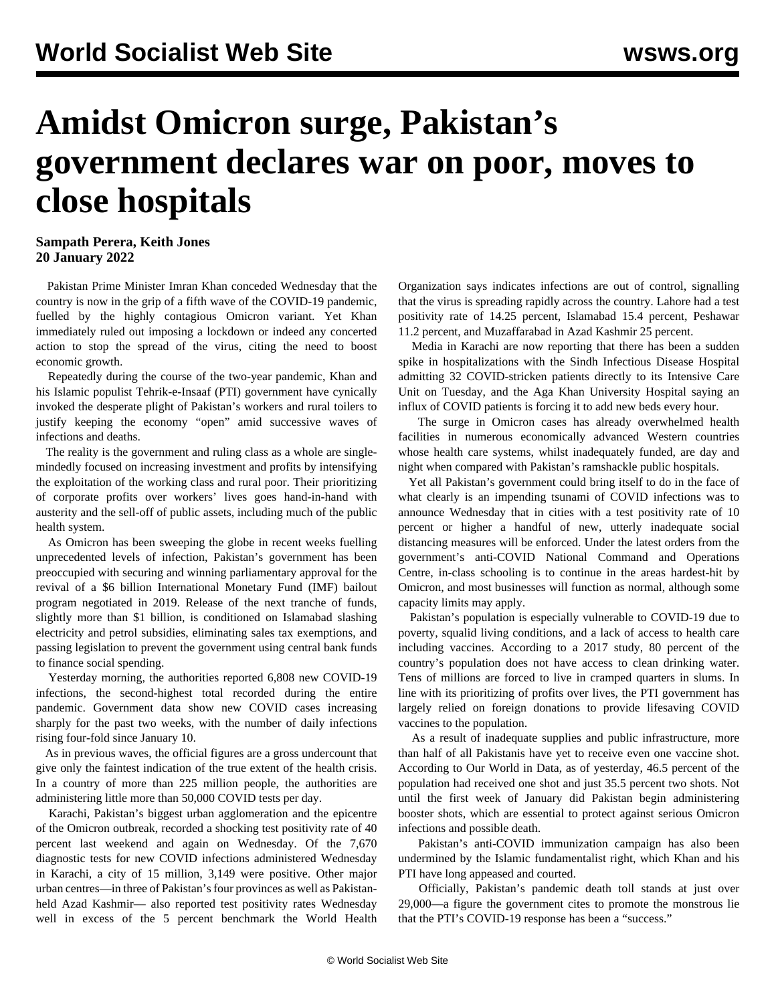## **Amidst Omicron surge, Pakistan's government declares war on poor, moves to close hospitals**

## **Sampath Perera, Keith Jones 20 January 2022**

 Pakistan Prime Minister Imran Khan conceded Wednesday that the country is now in the grip of a fifth wave of the COVID-19 pandemic, fuelled by the highly contagious Omicron variant. Yet Khan immediately ruled out imposing a lockdown or indeed any concerted action to stop the spread of the virus, citing the need to boost economic growth.

 Repeatedly during the course of the two-year pandemic, Khan and his Islamic populist Tehrik-e-Insaaf (PTI) government have cynically invoked the desperate plight of Pakistan's workers and rural toilers to justify keeping the economy "open" amid successive waves of infections and deaths.

 The reality is the government and ruling class as a whole are singlemindedly focused on increasing investment and profits by intensifying the exploitation of the working class and rural poor. Their prioritizing of corporate profits over workers' lives goes hand-in-hand with austerity and the sell-off of public assets, including much of the public health system.

 As Omicron has been sweeping the globe in recent weeks fuelling unprecedented levels of infection, Pakistan's government has been preoccupied with securing and winning parliamentary approval for the revival of a \$6 billion International Monetary Fund (IMF) bailout program negotiated in 2019. Release of the next tranche of funds, slightly more than \$1 billion, is conditioned on Islamabad slashing electricity and petrol subsidies, eliminating sales tax exemptions, and passing legislation to prevent the government using central bank funds to finance social spending.

 Yesterday morning, the authorities reported 6,808 new COVID-19 infections, the second-highest total recorded during the entire pandemic. Government data show new COVID cases increasing sharply for the past two weeks, with the number of daily infections rising four-fold since January 10.

 As in previous waves, the official figures are a gross undercount that give only the faintest indication of the true extent of the health crisis. In a country of more than 225 million people, the authorities are administering little more than 50,000 COVID tests per day.

 Karachi, Pakistan's biggest urban agglomeration and the epicentre of the Omicron outbreak, recorded a shocking test positivity rate of 40 percent last weekend and again on Wednesday. Of the 7,670 diagnostic tests for new COVID infections administered Wednesday in Karachi, a city of 15 million, 3,149 were positive. Other major urban centres—in three of Pakistan's four provinces as well as Pakistanheld Azad Kashmir— also reported test positivity rates Wednesday well in excess of the 5 percent benchmark the World Health

Organization says indicates infections are out of control, signalling that the virus is spreading rapidly across the country. Lahore had a test positivity rate of 14.25 percent, Islamabad 15.4 percent, Peshawar 11.2 percent, and Muzaffarabad in Azad Kashmir 25 percent.

 Media in Karachi are now reporting that there has been a sudden spike in hospitalizations with the Sindh Infectious Disease Hospital admitting 32 COVID-stricken patients directly to its Intensive Care Unit on Tuesday, and the Aga Khan University Hospital saying an influx of COVID patients is forcing it to add new beds every hour.

 The surge in Omicron cases has already overwhelmed health facilities in numerous economically advanced Western countries whose health care systems, whilst inadequately funded, are day and night when compared with Pakistan's ramshackle public hospitals.

 Yet all Pakistan's government could bring itself to do in the face of what clearly is an impending tsunami of COVID infections was to announce Wednesday that in cities with a test positivity rate of 10 percent or higher a handful of new, utterly inadequate social distancing measures will be enforced. Under the latest orders from the government's anti-COVID National Command and Operations Centre, in-class schooling is to continue in the areas hardest-hit by Omicron, and most businesses will function as normal, although some capacity limits may apply.

 Pakistan's population is especially vulnerable to COVID-19 due to poverty, squalid living conditions, and a lack of access to health care including vaccines. According to a 2017 study, 80 percent of the country's population does not have access to clean drinking water. Tens of millions are forced to live in cramped quarters in slums. In line with its prioritizing of profits over lives, the PTI government has largely relied on foreign donations to provide lifesaving COVID vaccines to the population.

 As a result of inadequate supplies and public infrastructure, more than half of all Pakistanis have yet to receive even one vaccine shot. According to Our World in Data, as of yesterday, 46.5 percent of the population had received one shot and just 35.5 percent two shots. Not until the first week of January did Pakistan begin administering booster shots, which are essential to protect against serious Omicron infections and possible death.

 Pakistan's anti-COVID immunization campaign has also been undermined by the Islamic fundamentalist right, which Khan and his PTI have long appeased and courted.

 Officially, Pakistan's pandemic death toll stands at just over 29,000—a figure the government cites to promote the monstrous lie that the PTI's COVID-19 response has been a "success."